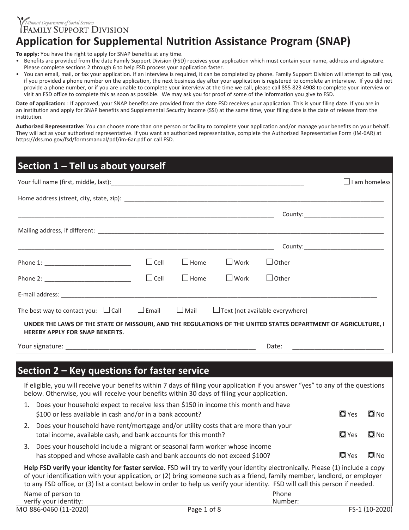FAMILY SUPPORT DIVISION *Missouri Department of Social Services* **Application for Supplemental Nutrition Assistance Program (SNAP)**

**To apply:** You have the right to apply for SNAP benefits at any time.

- Benefits are provided from the date Family Support Division (FSD) receives your application which must contain your name, address and signature. Please complete sections 2 through 6 to help FSD process your application faster.
- You can email, mail, or fax your application. If an interview is required, it can be completed by phone. Family Support Division will attempt to call you, if you provided a phone number on the application, the next business day after your application is registered to complete an interview. If you did not provide a phone number, or if you are unable to complete your interview at the time we call, please call 855 823 4908 to complete your interview or visit an FSD office to complete this as soon as possible. We may ask you for proof of some of the information you give to FSD.

Date of application: : If approved, your SNAP benefits are provided from the date FSD receives your application. This is your filing date. If you are in an institution and apply for SNAP benefits and Supplemental Security Income (SSI) at the same time, your filing date is the date of release from the institution.

**Authorized Representative:** You can choose more than one person or facility to complete your application and/or manage your benefits on your behalf. They will act as your authorized representative. If you want an authorized representative, complete the Authorized Representative Form (IM-6AR) at https://dss.mo.gov/fsd/formsmanual/pdf/im-6ar.pdf or call FSD.

| Section 1 - Tell us about yourself                                                                                                                                                                                              |              |             |             |                                        |                                   |                      |
|---------------------------------------------------------------------------------------------------------------------------------------------------------------------------------------------------------------------------------|--------------|-------------|-------------|----------------------------------------|-----------------------------------|----------------------|
|                                                                                                                                                                                                                                 |              |             |             |                                        |                                   | $\Box$ I am homeless |
|                                                                                                                                                                                                                                 |              |             |             |                                        |                                   |                      |
|                                                                                                                                                                                                                                 |              |             |             |                                        |                                   |                      |
|                                                                                                                                                                                                                                 |              |             |             |                                        |                                   |                      |
|                                                                                                                                                                                                                                 |              |             |             |                                        | County:__________________________ |                      |
|                                                                                                                                                                                                                                 | $\Box$ Cell  | $\Box$ Home | $\Box$ Work | $\Box$ Other                           |                                   |                      |
|                                                                                                                                                                                                                                 | $\Box$ Cell  | $\Box$ Home | $\Box$ Work | $\Box$ Other                           |                                   |                      |
|                                                                                                                                                                                                                                 |              |             |             |                                        |                                   |                      |
| The best way to contact you: $\Box$ Call                                                                                                                                                                                        | $\Box$ Email | $\Box$ Mail |             | $\Box$ Text (not available everywhere) |                                   |                      |
| UNDER THE LAWS OF THE STATE OF MISSOURI, AND THE REGULATIONS OF THE UNITED STATES DEPARTMENT OF AGRICULTURE, I<br><b>HEREBY APPLY FOR SNAP BENEFITS.</b>                                                                        |              |             |             |                                        |                                   |                      |
|                                                                                                                                                                                                                                 |              |             |             | Date:                                  |                                   |                      |
|                                                                                                                                                                                                                                 |              |             |             |                                        |                                   |                      |
| Section 2 – Key questions for faster service                                                                                                                                                                                    |              |             |             |                                        |                                   |                      |
| If eligible, you will receive your benefits within 7 days of filing your application if you answer "yes" to any of the questions<br>below. Otherwise, you will receive your benefits within 30 days of filing your application. |              |             |             |                                        |                                   |                      |
| 1. Does your household expect to receive less than \$150 in income this month and have<br>\$100 or less available in cash and/or in a bank account?                                                                             |              |             |             |                                        | <b>Q</b> Yes                      | $\bigcirc$ No        |
| 2. Does your household have rent/mortgage and/or utility costs that are more than your                                                                                                                                          |              |             |             |                                        |                                   |                      |

3. Does your household include a migrant or seasonal farm worker whose income has stopped and whose available cash and bank accounts do not exceed \$100?  $\Box$  Yes  $\Box$  No

total income, available cash, and bank accounts for this month?  $\Box$  Yes  $\Box$  No

**Help FSD verify your identity for faster service.** FSD will try to verify your identity electronically. Please (1) include a copy of your identification with your application, or (2) bring someone such as a friend, family member, landlord, or employer to any FSD office, or (3) list a contact below in order to help us verify your identity. FSD will call this person if needed.

| _____                 |                |                                      |
|-----------------------|----------------|--------------------------------------|
| Name of person to     | Phone          |                                      |
| verify your identity: | Number:        |                                      |
| MO 886-0460 (11-2020) | 1 of 8<br>Page | 2020<br>$110-$<br><b>EC-1</b><br>៶⊥∪ |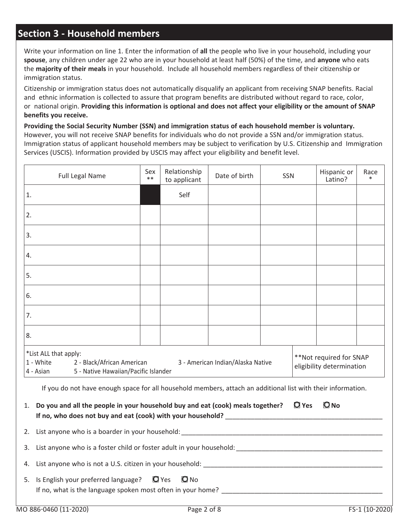## **Section 3 - Household members**

Write your information on line 1. Enter the information of **all** the people who live in your household, including your **spouse**, any children under age 22 who are in your household at least half (50%) of the time, and **anyone** who eats the **majority of their meals** in your household. Include all household members regardless of their citizenship or immigration status.

Citizenship or immigration status does not automatically disqualify an applicant from receiving SNAP benefits. Racial and ethnic information is collected to assure that program benefits are distributed without regard to race, color, or national origin. **Providing this information is optional and does not affect your eligibility or the amount of SNAP benefits you receive.**

**Providing the Social Security Number (SSN) and immigration status of each household member is voluntary.** However, you will not receive SNAP benefits for individuals who do not provide a SSN and/or immigration status. Immigration status of applicant household members may be subject to verification by U.S. Citizenship and Immigration Services (USCIS). Information provided by USCIS may affect your eligibility and benefit level.

| <b>Full Legal Name</b>                                                                                                                                                                                             | Sex<br>$**$ | Relationship<br>to applicant | Date of birth | <b>SSN</b> |  | Hispanic or<br>Latino? | Race |
|--------------------------------------------------------------------------------------------------------------------------------------------------------------------------------------------------------------------|-------------|------------------------------|---------------|------------|--|------------------------|------|
| 1.                                                                                                                                                                                                                 |             | Self                         |               |            |  |                        |      |
| 2.                                                                                                                                                                                                                 |             |                              |               |            |  |                        |      |
| 3.                                                                                                                                                                                                                 |             |                              |               |            |  |                        |      |
| 4.                                                                                                                                                                                                                 |             |                              |               |            |  |                        |      |
| 5.                                                                                                                                                                                                                 |             |                              |               |            |  |                        |      |
| 6.                                                                                                                                                                                                                 |             |                              |               |            |  |                        |      |
| 7.                                                                                                                                                                                                                 |             |                              |               |            |  |                        |      |
| 8.                                                                                                                                                                                                                 |             |                              |               |            |  |                        |      |
| *List ALL that apply:<br>**Not required for SNAP<br>1 - White<br>2 - Black/African American<br>3 - American Indian/Alaska Native<br>eligibility determination<br>5 - Native Hawaiian/Pacific Islander<br>4 - Asian |             |                              |               |            |  |                        |      |
| If you do not have enough space for all household members, attach an additional list with their information.                                                                                                       |             |                              |               |            |  |                        |      |
| $\Box$ Yes<br>$\mathbf{\Omega}$ No<br>1. Do you and all the people in your household buy and eat (cook) meals together?<br>If no, who does not buy and eat (cook) with your household?                             |             |                              |               |            |  |                        |      |
| 2.                                                                                                                                                                                                                 |             |                              |               |            |  |                        |      |
| 3.                                                                                                                                                                                                                 |             |                              |               |            |  |                        |      |
| 4.                                                                                                                                                                                                                 |             |                              |               |            |  |                        |      |
| $\blacksquare$ Yes<br>5. Is English your preferred language?<br>$\Omega_{\text{No}}$<br>If no, what is the language spoken most often in your home?                                                                |             |                              |               |            |  |                        |      |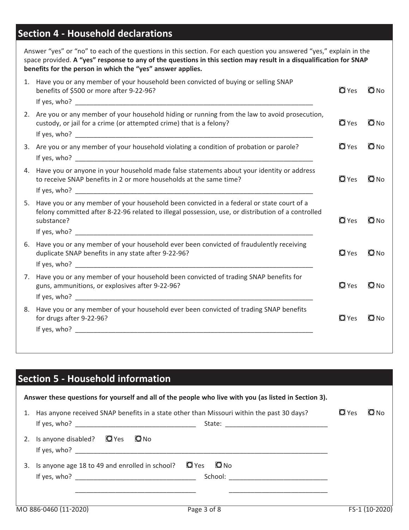# **Section 4 - Household declarations**

| Answer "yes" or "no" to each of the questions in this section. For each question you answered "yes," explain in the<br>space provided. A "yes" response to any of the questions in this section may result in a disqualification for SNAP<br>benefits for the person in which the "yes" answer applies. |                    |             |
|---------------------------------------------------------------------------------------------------------------------------------------------------------------------------------------------------------------------------------------------------------------------------------------------------------|--------------------|-------------|
| 1. Have you or any member of your household been convicted of buying or selling SNAP<br>benefits of \$500 or more after 9-22-96?                                                                                                                                                                        | <b>O</b> Yes       | $\Omega$ No |
| 2. Are you or any member of your household hiding or running from the law to avoid prosecution,<br>custody, or jail for a crime (or attempted crime) that is a felony?                                                                                                                                  | $\blacksquare$ Yes | $\Box$ No   |
| 3. Are you or any member of your household violating a condition of probation or parole?                                                                                                                                                                                                                | $\blacksquare$ Yes | $\Box$ No   |
| 4. Have you or anyone in your household made false statements about your identity or address<br>to receive SNAP benefits in 2 or more households at the same time?                                                                                                                                      | <b>O</b> Yes       | $\Box$ No   |
| 5. Have you or any member of your household been convicted in a federal or state court of a<br>felony committed after 8-22-96 related to illegal possession, use, or distribution of a controlled<br>substance?                                                                                         | $\mathbf{O}$ Yes   | $\Box$ No   |
| 6. Have you or any member of your household ever been convicted of fraudulently receiving<br>duplicate SNAP benefits in any state after 9-22-96?                                                                                                                                                        | $\mathbf{Q}$ Yes   | $\Box$ No   |
| 7. Have you or any member of your household been convicted of trading SNAP benefits for<br>guns, ammunitions, or explosives after 9-22-96?                                                                                                                                                              | $\mathbf{O}$ Yes   | $\Box$ No   |
| 8. Have you or any member of your household ever been convicted of trading SNAP benefits<br>for drugs after 9-22-96?                                                                                                                                                                                    | $\blacksquare$ Yes | $Q$ No      |

| <b>Section 5 - Household information</b>                                                                                                                                                                                                                                                                                       |                                            |
|--------------------------------------------------------------------------------------------------------------------------------------------------------------------------------------------------------------------------------------------------------------------------------------------------------------------------------|--------------------------------------------|
| Answer these questions for yourself and all of the people who live with you (as listed in Section 3).                                                                                                                                                                                                                          |                                            |
| Has anyone received SNAP benefits in a state other than Missouri within the past 30 days?<br>1.                                                                                                                                                                                                                                | $\Omega$ Yes<br>O <sub>N<sub>O</sub></sub> |
| $\mathbf{\Omega}$ No<br>Is anyone disabled? $\Box$ Yes<br>2.                                                                                                                                                                                                                                                                   |                                            |
| <b>O</b> No<br>$\mathbf Q$ Yes<br>Is anyone age 18 to 49 and enrolled in school?<br>3.<br>School: <u>Designed and the second second and second second second second second second second second second second second second second second second second second second second second second second second second second sec</u> |                                            |
|                                                                                                                                                                                                                                                                                                                                |                                            |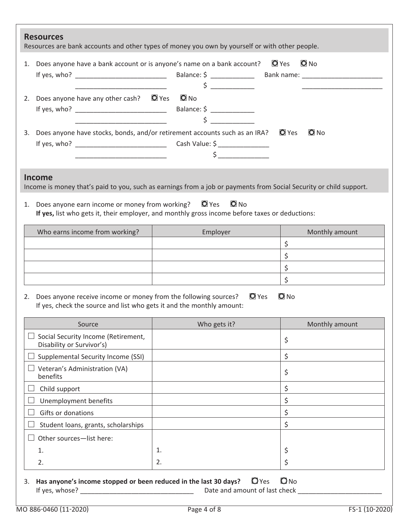| <b>Resources</b><br>Resources are bank accounts and other types of money you own by yourself or with other people.                                                                                    |                                                                                                                           |                               |
|-------------------------------------------------------------------------------------------------------------------------------------------------------------------------------------------------------|---------------------------------------------------------------------------------------------------------------------------|-------------------------------|
| 1. Does anyone have a bank account or is anyone's name on a bank account?                                                                                                                             |                                                                                                                           | $\bullet$ No<br>$\bullet$ Yes |
| 2. Does anyone have any other cash? $\Box$ Yes $\Box$ No                                                                                                                                              | $\zeta$                                                                                                                   |                               |
| 3. Does anyone have stocks, bonds, and/or retirement accounts such as an IRA?<br><u> 1990 - Johann John Harry Harry Harry Harry Harry Harry Harry Harry Harry Harry Harry Harry Harry Harry Harry</u> | $\zeta$                                                                                                                   | $\bullet$ No<br>$\bullet$ Yes |
| <b>Income</b><br>Income is money that's paid to you, such as earnings from a job or payments from Social Security or child support.                                                                   |                                                                                                                           |                               |
| 1. Does anyone earn income or money from working?                                                                                                                                                     | $\bullet$ Yes<br>$O$ No<br>If yes, list who gets it, their employer, and monthly gross income before taxes or deductions: |                               |
| Who earns income from working?                                                                                                                                                                        | Employer                                                                                                                  | Monthly amount                |
|                                                                                                                                                                                                       |                                                                                                                           | \$                            |
|                                                                                                                                                                                                       |                                                                                                                           | \$                            |
|                                                                                                                                                                                                       |                                                                                                                           | \$                            |
|                                                                                                                                                                                                       |                                                                                                                           | $\zeta$                       |
| Does anyone receive income or money from the following sources?<br>2.<br>If yes, check the source and list who gets it and the monthly amount:                                                        | $\bullet$ Yes                                                                                                             | $\bullet$ No                  |
| Source                                                                                                                                                                                                | Who gets it?                                                                                                              | Monthly amount                |
| Social Security Income (Retirement,<br>Disability or Survivor's)                                                                                                                                      |                                                                                                                           | \$                            |
| Supplemental Security Income (SSI)                                                                                                                                                                    |                                                                                                                           | \$                            |
| Veteran's Administration (VA)<br>benefits                                                                                                                                                             |                                                                                                                           | \$                            |
| Child support                                                                                                                                                                                         |                                                                                                                           | \$                            |
| Unemployment benefits                                                                                                                                                                                 |                                                                                                                           | \$                            |
| Gifts or donations                                                                                                                                                                                    |                                                                                                                           | \$                            |
| Student loans, grants, scholarships                                                                                                                                                                   |                                                                                                                           | \$                            |
| Other sources-list here:                                                                                                                                                                              |                                                                                                                           |                               |
| 1.                                                                                                                                                                                                    | 1.                                                                                                                        | \$                            |
| 2.                                                                                                                                                                                                    | 2.                                                                                                                        | \$                            |
|                                                                                                                                                                                                       |                                                                                                                           |                               |

3. **Has anyone's income stopped or been reduced in the last 30 days?**  $\Box$  Yes  $\Box$  No If yes, whose? \_\_\_\_\_\_\_\_\_\_\_\_\_\_\_\_\_\_\_\_\_\_\_\_\_\_\_\_\_\_\_ Date and amount of last check \_\_\_\_\_\_\_\_\_\_\_\_\_\_\_\_\_\_\_\_\_\_\_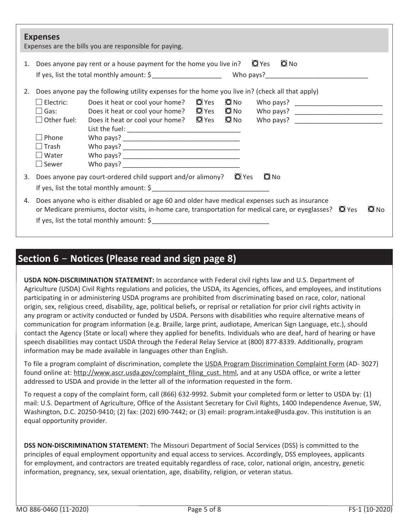|    | <b>Expenses</b>                                                                                     | Expenses are the bills you are responsible for paying.                                                                                                                                                                                                                 |
|----|-----------------------------------------------------------------------------------------------------|------------------------------------------------------------------------------------------------------------------------------------------------------------------------------------------------------------------------------------------------------------------------|
|    |                                                                                                     | $\bullet$ No<br>Does anyone pay rent or a house payment for the home you live in? $\Box$ Yes<br>If yes, list the total monthly amount: $\oint$                                                                                                                         |
| 2. |                                                                                                     | Does anyone pay the following utility expenses for the home you live in? (check all that apply)                                                                                                                                                                        |
|    | $\square$ Electric:<br>$\Box$ Gas:<br>Other fuel:<br>Phone<br>$\Box$ Trash<br>Water<br>$\Box$ Sewer | Does it heat or cool your home? $\Box$ Yes $\Box$ No<br>Does it heat or cool your home? $\Box$ Yes $\Box$ No Who pays? ______________________<br>Does it heat or cool your home? © Yes © No Who pays? ___________________________                                      |
| 3. |                                                                                                     | $\Omega$ No<br>Does anyone pay court-ordered child support and/or alimony? $\Box$ Yes                                                                                                                                                                                  |
|    |                                                                                                     |                                                                                                                                                                                                                                                                        |
| 4. |                                                                                                     | Does anyone who is either disabled or age 60 and older have medical expenses such as insurance<br>or Medicare premiums, doctor visits, in-home care, transportation for medical care, or eyeglasses? $\Box$ Yes<br>$O$ No<br>If yes, list the total monthly amount: \$ |

## **Section 6** ‑ **Notices (Please read and sign page 8)**

**USDA NON-DISCRIMINATION STATEMENT:** In accordance with Federal civil rights law and U.S. Department of Agriculture (USDA) Civil Rights regulations and policies, the USDA, its Agencies, offices, and employees, and institutions participating in or administering USDA programs are prohibited from discriminating based on race, color, national origin, sex, religious creed, disability, age, political beliefs, or reprisal or retaliation for prior civil rights activity in any program or activity conducted or funded by USDA. Persons with disabilities who require alternative means of communication for program information (e.g. Braille, large print, audiotape, American Sign Language, etc.), should contact the Agency (State or local) where they applied for benefits. Individuals who are deaf, hard of hearing or have speech disabilities may contact USDA through the Federal Relay Service at (800) 877-8339. Additionally, program information may be made available in languages other than English.

To file a program complaint of discrimination, complete the USDA Program Discrimination Complaint Form (AD- 3027) found online at: http://www.ascr.usda.gov/complaint\_filing\_cust. html, and at any USDA office, or write a letter addressed to USDA and provide in the letter all of the information requested in the form.

To request a copy of the complaint form, call (866) 632-9992. Submit your completed form or letter to USDA by: (1) mail: U.S. Department of Agriculture, Office of the Assistant Secretary for Civil Rights, 1400 Independence Avenue, SW, Washington, D.C. 20250-9410; (2) fax: (202) 690-7442; or (3) email: program.intake@usda.gov. This institution is an equal opportunity provider.

**DSS NON-DISCRIMINATION STATEMENT:** The Missouri Department of Social Services (DSS) is committed to the principles of equal employment opportunity and equal access to services. Accordingly, DSS employees, applicants for employment, and contractors are treated equitably regardless of race, color, national origin, ancestry, genetic information, pregnancy, sex, sexual orientation, age, disability, religion, or veteran status.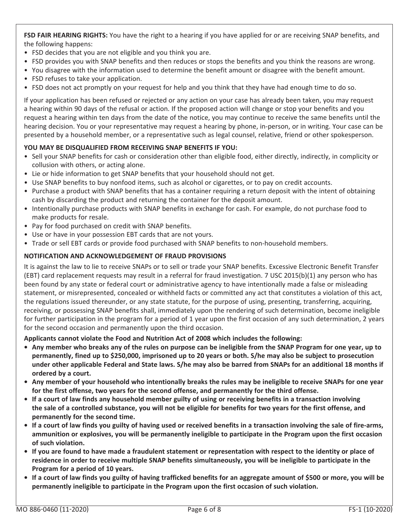**FSD FAIR HEARING RIGHTS:** You have the right to a hearing if you have applied for or are receiving SNAP benefits, and the following happens:

- FSD decides that you are not eligible and you think you are.
- FSD provides you with SNAP benefits and then reduces or stops the benefits and you think the reasons are wrong.
- You disagree with the information used to determine the benefit amount or disagree with the benefit amount.
- FSD refuses to take your application.
- FSD does not act promptly on your request for help and you think that they have had enough time to do so.

If your application has been refused or rejected or any action on your case has already been taken, you may request a hearing within 90 days of the refusal or action. If the proposed action will change or stop your benefits and you request a hearing within ten days from the date of the notice, you may continue to receive the same benefits until the hearing decision. You or your representative may request a hearing by phone, in-person, or in writing. Your case can be presented by a household member, or a representative such as legal counsel, relative, friend or other spokesperson.

#### **YOU MAY BE DISQUALIFIED FROM RECEIVING SNAP BENEFITS IF YOU:**

- Sell your SNAP benefits for cash or consideration other than eligible food, either directly, indirectly, in complicity or collusion with others, or acting alone.
- Lie or hide information to get SNAP benefits that your household should not get.
- Use SNAP benefits to buy nonfood items, such as alcohol or cigarettes, or to pay on credit accounts.
- Purchase a product with SNAP benefits that has a container requiring a return deposit with the intent of obtaining cash by discarding the product and returning the container for the deposit amount.
- Intentionally purchase products with SNAP benefits in exchange for cash. For example, do not purchase food to make products for resale.
- Pay for food purchased on credit with SNAP benefits.
- Use or have in your possession EBT cards that are not yours.
- Trade or sell EBT cards or provide food purchased with SNAP benefits to non-household members.

#### **NOTIFICATION AND ACKNOWLEDGEMENT OF FRAUD PROVISIONS**

It is against the law to lie to receive SNAPs or to sell or trade your SNAP benefits. Excessive Electronic Benefit Transfer (EBT) card replacement requests may result in a referral for fraud investigation. 7 USC 2015(b)(1) any person who has been found by any state or federal court or administrative agency to have intentionally made a false or misleading statement, or misrepresented, concealed or withheld facts or committed any act that constitutes a violation of this act, the regulations issued thereunder, or any state statute, for the purpose of using, presenting, transferring, acquiring, receiving, or possessing SNAP benefits shall, immediately upon the rendering of such determination, become ineligible for further participation in the program for a period of 1 year upon the first occasion of any such determination, 2 years for the second occasion and permanently upon the third occasion.

**Applicants cannot violate the Food and Nutrition Act of 2008 which includes the following:**

- **• Any member who breaks any of the rules on purpose can be ineligible from the SNAP Program for one year, up to permanently, fined up to \$250,000, imprisoned up to 20 years or both. S/he may also be subject to prosecution under other applicable Federal and State laws. S/he may also be barred from SNAPs for an additional 18 months if ordered by a court.**
- **• Any member of your household who intentionally breaks the rules may be ineligible to receive SNAPs for one year for the first offense, two years for the second offense, and permanently for the third offense.**
- **• If a court of law finds any household member guilty of using or receiving benefits in a transaction involving the sale of a controlled substance, you will not be eligible for benefits for two years for the first offense, and permanently for the second time.**
- **• If a court of law finds you guilty of having used or received benefits in a transaction involving the sale of fire-arms, ammunition or explosives, you will be permanently ineligible to participate in the Program upon the first occasion of such violation.**
- **• If you are found to have made a fraudulent statement or representation with respect to the identity or place of residence in order to receive multiple SNAP benefits simultaneously, you will be ineligible to participate in the Program for a period of 10 years.**
- **• If a court of law finds you guilty of having trafficked benefits for an aggregate amount of \$500 or more, you will be permanently ineligible to participate in the Program upon the first occasion of such violation.**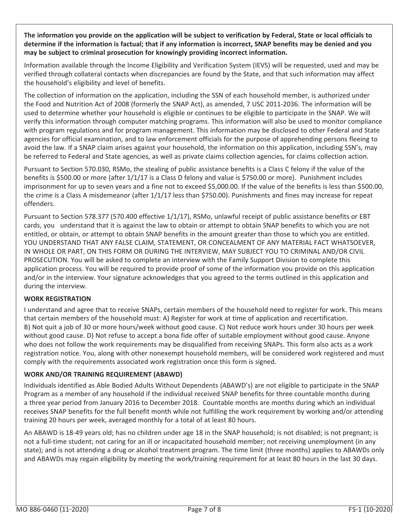**The information you provide on the application will be subject to verification by Federal, State or local officials to determine if the information is factual; that if any information is incorrect, SNAP benefits may be denied and you may be subject to criminal prosecution for knowingly providing incorrect information.**

Information available through the Income Eligibility and Verification System (IEVS) will be requested, used and may be verified through collateral contacts when discrepancies are found by the State, and that such information may affect the household's eligibility and level of benefits.

The collection of information on the application, including the SSN of each household member, is authorized under the Food and Nutrition Act of 2008 (formerly the SNAP Act), as amended, 7 USC 2011-2036. The information will be used to determine whether your household is eligible or continues to be eligible to participate in the SNAP. We will verify this information through computer matching programs. This information will also be used to monitor compliance with program regulations and for program management. This information may be disclosed to other Federal and State agencies for official examination, and to law enforcement officials for the purpose of apprehending persons fleeing to avoid the law. If a SNAP claim arises against your household, the information on this application, including SSN's, may be referred to Federal and State agencies, as well as private claims collection agencies, for claims collection action.

Pursuant to Section 570.030, RSMo, the stealing of public assistance benefits is a Class C felony if the value of the benefits is \$500.00 or more (after 1/1/17 is a Class D felony and value is \$750.00 or more). Punishment includes imprisonment for up to seven years and a fine not to exceed \$5,000.00. If the value of the benefits is less than \$500.00, the crime is a Class A misdemeanor (after 1/1/17 less than \$750.00). Punishments and fines may increase for repeat offenders.

Pursuant to Section 578.377 (570.400 effective 1/1/17), RSMo, unlawful receipt of public assistance benefits or EBT cards, you understand that it is against the law to obtain or attempt to obtain SNAP benefits to which you are not entitled, or obtain, or attempt to obtain SNAP benefits in the amount greater than those to which you are entitled. YOU UNDERSTAND THAT ANY FALSE CLAIM, STATEMENT, OR CONCEALMENT OF ANY MATERIAL FACT WHATSOEVER, IN WHOLE OR PART, ON THIS FORM OR DURING THE INTERVIEW, MAY SUBJECT YOU TO CRIMINAL AND/OR CIVIL PROSECUTION. You will be asked to complete an interview with the Family Support Division to complete this application process. You will be required to provide proof of some of the information you provide on this application and/or in the interview. Your signature acknowledges that you agreed to the terms outlined in this application and during the interview.

#### **WORK REGISTRATION**

I understand and agree that to receive SNAPs, certain members of the household need to register for work. This means that certain members of the household must: A) Register for work at time of application and recertification. B) Not quit a job of 30 or more hours/week without good cause. C) Not reduce work hours under 30 hours per week without good cause. D) Not refuse to accept a bona fide offer of suitable employment without good cause. Anyone who does not follow the work requirements may be disqualified from receiving SNAPs. This form also acts as a work registration notice. You, along with other nonexempt household members, will be considered work registered and must comply with the requirements associated work registration once this form is signed.

#### **WORK AND/OR TRAINING REQUIREMENT (ABAWD)**

Individuals identified as Able Bodied Adults Without Dependents (ABAWD's) are not eligible to participate in the SNAP Program as a member of any household if the individual received SNAP benefits for three countable months during a three year period from January 2016 to December 2018. Countable months are months during which an individual receives SNAP benefits for the full benefit month while not fulfilling the work requirement by working and/or attending training 20 hours per week, averaged monthly for a total of at least 80 hours.

An ABAWD is 18-49 years old; has no children under age 18 in the SNAP household; is not disabled; is not pregnant; is not a full-time student; not caring for an ill or incapacitated household member; not receiving unemployment (in any state); and is not attending a drug or alcohol treatment program. The time limit (three months) applies to ABAWDs only and ABAWDs may regain eligibility by meeting the work/training requirement for at least 80 hours in the last 30 days.